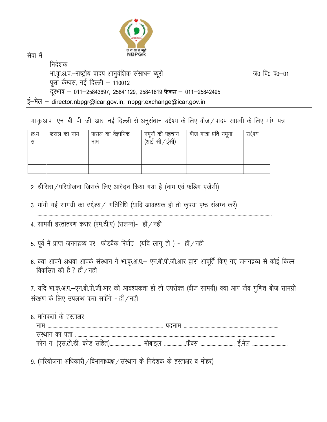

सेवा में

निदेशक भा.कृ.अ.प.–राष्ट्रीय पादप आनुवंशिक संसाधन ब्यूरो ज0 वि0 व0–01 पूसा कैम्पस, नई दिल्ली – 110012 दूरभाष - 011-25843697, 25841129, 25841619 फैक्स - 011-25842495 ई-मेल - director.nbpgr@icar.gov.in; nbpgr.exchange@icar.gov.in

| क्र.म<br>सं | फसल का नाम | फसल का वैज्ञानिक<br>नाम | नमूनों की पहचान<br>(आई सी ⁄ ईसी) | । बीज मात्रा प्रति नमूना | उद्देश्य |
|-------------|------------|-------------------------|----------------------------------|--------------------------|----------|
|             |            |                         |                                  |                          |          |
|             |            |                         |                                  |                          |          |
|             |            |                         |                                  |                          |          |

भा.कृ.अ.प.–एन. बी. पी. जी. आर. नई दिल्ली से अनुसंधान उद्देश्य के लिए बीज ⁄ पादप साम्रगी के लिए मांग पत्र।

2. थीसिस / परियोजना जिसके लिए आवेदन किया गया है (नाम एवं फंडिग एजेंसी)

 ------------------------------------------------------------------------------------------------------------------------------------------------------------------------------------------------ 3. मांगी गई सामग्री का उद्देश्य / गतिविधि (यादि आवश्यक हो तो कृपया पृष्ठ संलग्न करें)

--------------------------------------------------------------------------------------------------------------------------------------------------------------------------------------------------

- 4. सामग्री हस्तांतरण करार (एम.टी.ए) (संलग्न)- हॉ / नही
- 5. पूर्व में प्राप्त जननद्रव्य पर फीडबैक रिर्पोट (यदि लागू हो) हॉ / नही
- 6. क्या आपने अथवा आपके संस्थान ने भा.कृ.अ.प.— एन.बी.पी.जी.आर द्वारा आपूर्ति किए गए जननद्रव्य से कोई किस्म विकसित की है ? हाँ  $/$ नही

7. यदि भा.कृ.अ.प.–एन.बी.पी.जी.आर को आवश्यकता हो तो उपरोक्त (बीज सामग्री) क्या आप जैव गुणित बीज सामग्री संरक्षण के लिए उपलब्ध करा सकेंगे - हाँ $/$ नही

8. मांगकर्ता के हस्ताक्षर uke ----------------------------------------------------------------------------------------------- inuke ----------------------------------------------------------------------------- laLFkku dk irk ---------------------------------------------------------------------------------------------------------------------------------------------------------------------- Qksu u- ¼,l-Vh-Mh- dksM lfgr½-------------------------- eksckby ------------------QSDLk ---------------------------- bZ-esy -----------------------------

9. (परियोजना अधिकारी / विभागाध्यक्ष / संस्थान के निदेशक के हस्ताक्षर व मोहर)